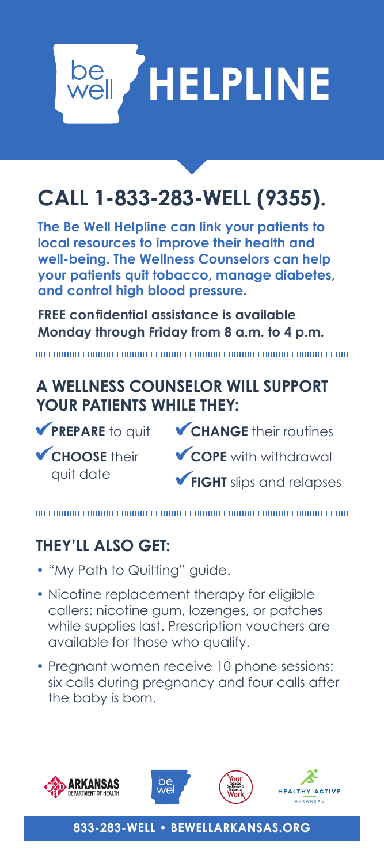

# **CALL 1-833-283-WELL (9355).**

**The Be Well Helpline can link your patients to local resources to improve their health and well-being. The Wellness Counselors can help your patients quit tobacco, manage diabetes, and control high blood pressure.**

**FREE confidential assistance is available Monday through Friday from 8 a.m. to 4 p.m.** 

## **A WELLNESS COUNSELOR WILL SUPPORT YOUR PATIENTS WHILE THEY:**

**PREPARE** to quit

**CHOOSE** their quit date

- **CHANGE** their routines
- **COPE** with withdrawal
- **FIGHT** slips and relapses

# **THEY'LL ALSO GET:**

- *"*My Path to Quitting" guide.
- Nicotine replacement therapy for eligible callers: nicotine gum, lozenges, or patches while supplies last. Prescription vouchers are available for those who qualify.
- Pregnant women receive 10 phone sessions: six calls during pregnancy and four calls after the baby is born.









**833-283-WELL • BEWELLARKANSAS.ORG**